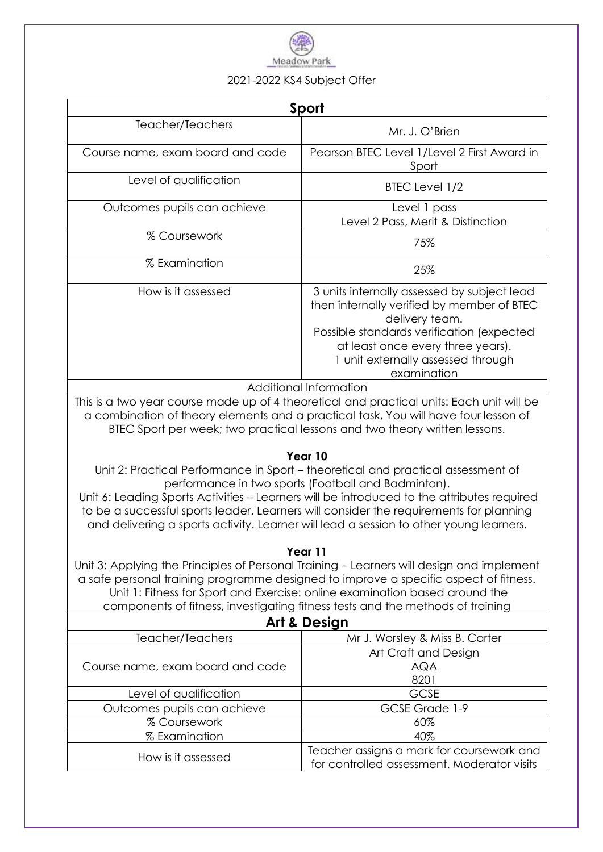

## 2021-2022 KS4 Subject Offer

| Sport                            |                                                                                                                                                                                                                                                    |
|----------------------------------|----------------------------------------------------------------------------------------------------------------------------------------------------------------------------------------------------------------------------------------------------|
| Teacher/Teachers                 | Mr. J. O'Brien                                                                                                                                                                                                                                     |
| Course name, exam board and code | Pearson BTEC Level 1/Level 2 First Award in<br>Sport                                                                                                                                                                                               |
| Level of qualification           | BTEC Level 1/2                                                                                                                                                                                                                                     |
| Outcomes pupils can achieve      | Level 1 pass<br>Level 2 Pass, Merit & Distinction                                                                                                                                                                                                  |
| % Coursework                     | 75%                                                                                                                                                                                                                                                |
| % Examination                    | 25%                                                                                                                                                                                                                                                |
| How is it assessed               | 3 units internally assessed by subject lead<br>then internally verified by member of BTEC<br>delivery team.<br>Possible standards verification (expected<br>at least once every three years).<br>1 unit externally assessed through<br>examination |
| Additional Information           |                                                                                                                                                                                                                                                    |

This is a two year course made up of 4 theoretical and practical units: Each unit will be a combination of theory elements and a practical task, You will have four lesson of BTEC Sport per week; two practical lessons and two theory written lessons.

## **Year 10**

Unit 2: Practical Performance in Sport – theoretical and practical assessment of performance in two sports (Football and Badminton).

Unit 6: Leading Sports Activities – Learners will be introduced to the attributes required to be a successful sports leader. Learners will consider the requirements for planning and delivering a sports activity. Learner will lead a session to other young learners.

## **Year 11**

Unit 3: Applying the Principles of Personal Training – Learners will design and implement a safe personal training programme designed to improve a specific aspect of fitness. Unit 1: Fitness for Sport and Exercise: online examination based around the components of fitness, investigating fitness tests and the methods of training

| <b>Art &amp; Design</b>          |                                             |  |
|----------------------------------|---------------------------------------------|--|
| Teacher/Teachers                 | Mr J. Worsley & Miss B. Carter              |  |
| Course name, exam board and code | Art Craft and Design                        |  |
|                                  | AQA                                         |  |
|                                  | 8201                                        |  |
| Level of qualification           | <b>GCSE</b>                                 |  |
| Outcomes pupils can achieve      | GCSE Grade 1-9                              |  |
| % Coursework                     | 60%                                         |  |
| % Examination                    | 40%                                         |  |
| How is it assessed               | Teacher assigns a mark for coursework and   |  |
|                                  | for controlled assessment. Moderator visits |  |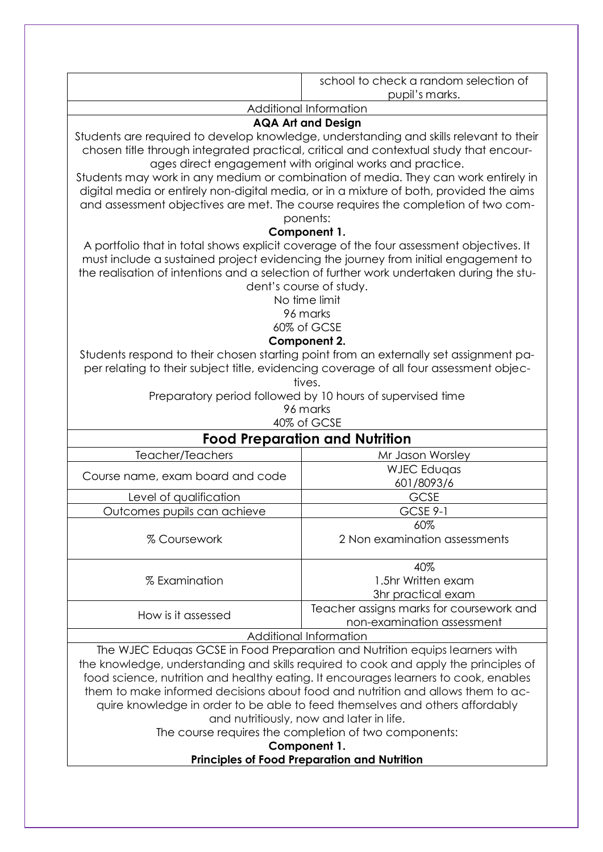|                                                                                                                                                                                                                                                                                                                                                  | school to check a random selection of<br>pupil's marks.                |  |
|--------------------------------------------------------------------------------------------------------------------------------------------------------------------------------------------------------------------------------------------------------------------------------------------------------------------------------------------------|------------------------------------------------------------------------|--|
|                                                                                                                                                                                                                                                                                                                                                  | Additional Information                                                 |  |
|                                                                                                                                                                                                                                                                                                                                                  | <b>AQA Art and Design</b>                                              |  |
| Students are required to develop knowledge, understanding and skills relevant to their<br>chosen title through integrated practical, critical and contextual study that encour-<br>ages direct engagement with original works and practice.<br>Students may work in any medium or combination of media. They can work entirely in                |                                                                        |  |
| digital media or entirely non-digital media, or in a mixture of both, provided the aims<br>and assessment objectives are met. The course requires the completion of two com-<br>ponents:                                                                                                                                                         |                                                                        |  |
|                                                                                                                                                                                                                                                                                                                                                  | Component 1.                                                           |  |
| A portfolio that in total shows explicit coverage of the four assessment objectives. It<br>must include a sustained project evidencing the journey from initial engagement to<br>the realisation of intentions and a selection of further work undertaken during the stu-<br>dent's course of study.<br>No time limit<br>96 marks<br>60% of GCSE |                                                                        |  |
|                                                                                                                                                                                                                                                                                                                                                  |                                                                        |  |
| Component 2.<br>Students respond to their chosen starting point from an externally set assignment pa-<br>per relating to their subject title, evidencing coverage of all four assessment objec-<br>tives.<br>Preparatory period followed by 10 hours of supervised time<br>96 marks<br>40% of GCSE                                               |                                                                        |  |
|                                                                                                                                                                                                                                                                                                                                                  |                                                                        |  |
|                                                                                                                                                                                                                                                                                                                                                  | <b>Food Preparation and Nutrition</b>                                  |  |
| Teacher/Teachers                                                                                                                                                                                                                                                                                                                                 | Mr Jason Worsley                                                       |  |
| Course name, exam board and code                                                                                                                                                                                                                                                                                                                 | <b>WJEC Edugas</b><br>601/8093/6                                       |  |
| Level of qualification                                                                                                                                                                                                                                                                                                                           | <b>GCSE</b>                                                            |  |
| Outcomes pupils can achieve                                                                                                                                                                                                                                                                                                                      | GCSE 9-1                                                               |  |
|                                                                                                                                                                                                                                                                                                                                                  | 60%                                                                    |  |
| % Coursework                                                                                                                                                                                                                                                                                                                                     | 2 Non examination assessments                                          |  |
|                                                                                                                                                                                                                                                                                                                                                  | 40%                                                                    |  |
| % Examination                                                                                                                                                                                                                                                                                                                                    | 1.5hr Written exam                                                     |  |
|                                                                                                                                                                                                                                                                                                                                                  | 3hr practical exam                                                     |  |
| How is it assessed                                                                                                                                                                                                                                                                                                                               | Teacher assigns marks for coursework and<br>non-examination assessment |  |
|                                                                                                                                                                                                                                                                                                                                                  |                                                                        |  |
| Additional Information<br>The WJEC Eduqas GCSE in Food Preparation and Nutrition equips learners with                                                                                                                                                                                                                                            |                                                                        |  |
| the knowledge, understanding and skills required to cook and apply the principles of                                                                                                                                                                                                                                                             |                                                                        |  |
| food science, nutrition and healthy eating. It encourages learners to cook, enables                                                                                                                                                                                                                                                              |                                                                        |  |
| them to make informed decisions about food and nutrition and allows them to ac-                                                                                                                                                                                                                                                                  |                                                                        |  |
| quire knowledge in order to be able to feed themselves and others affordably                                                                                                                                                                                                                                                                     |                                                                        |  |
|                                                                                                                                                                                                                                                                                                                                                  | and nutritiously, now and later in life.                               |  |

The course requires the completion of two components:

**Component 1.**

## **Principles of Food Preparation and Nutrition**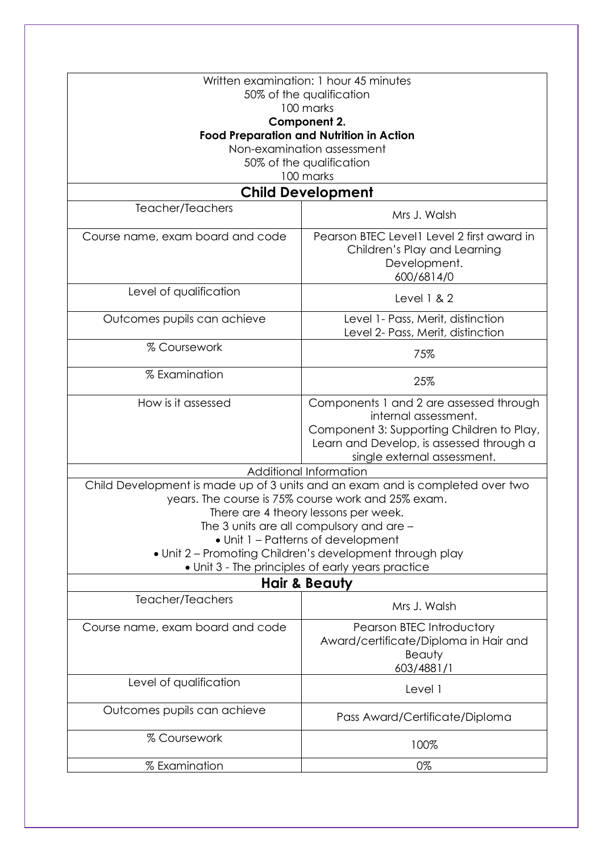| Written examination: 1 hour 45 minutes<br>50% of the qualification |                                                                                                                                                          |  |  |
|--------------------------------------------------------------------|----------------------------------------------------------------------------------------------------------------------------------------------------------|--|--|
|                                                                    | 100 marks                                                                                                                                                |  |  |
| Component 2.<br><b>Food Preparation and Nutrition in Action</b>    |                                                                                                                                                          |  |  |
|                                                                    |                                                                                                                                                          |  |  |
|                                                                    | 50% of the qualification                                                                                                                                 |  |  |
|                                                                    | 100 marks                                                                                                                                                |  |  |
|                                                                    | <b>Child Development</b>                                                                                                                                 |  |  |
| Teacher/Teachers                                                   | Mrs J. Walsh                                                                                                                                             |  |  |
| Course name, exam board and code                                   | Pearson BTEC Level1 Level 2 first award in<br>Children's Play and Learning<br>Development.                                                               |  |  |
| Level of qualification                                             | 600/6814/0                                                                                                                                               |  |  |
|                                                                    | Level $1 & 2$                                                                                                                                            |  |  |
| Outcomes pupils can achieve                                        | Level 1- Pass, Merit, distinction<br>Level 2- Pass, Merit, distinction                                                                                   |  |  |
| % Coursework                                                       | 75%                                                                                                                                                      |  |  |
| % Examination                                                      | 25%                                                                                                                                                      |  |  |
| How is it assessed                                                 | Components 1 and 2 are assessed through<br>internal assessment.<br>Component 3: Supporting Children to Play,<br>Learn and Develop, is assessed through a |  |  |
|                                                                    | single external assessment.<br>Additional Information                                                                                                    |  |  |
|                                                                    | Child Development is made up of 3 units and an exam and is completed over two                                                                            |  |  |
|                                                                    | years. The course is 75% course work and 25% exam.                                                                                                       |  |  |
|                                                                    |                                                                                                                                                          |  |  |
|                                                                    | There are 4 theory lessons per week.<br>The 3 units are all compulsory and are -                                                                         |  |  |
|                                                                    | • Unit 1 - Patterns of development                                                                                                                       |  |  |
|                                                                    |                                                                                                                                                          |  |  |
|                                                                    | • Unit 2 - Promoting Children's development through play<br>. Unit 3 - The principles of early years practice                                            |  |  |
|                                                                    |                                                                                                                                                          |  |  |
| Teacher/Teachers                                                   | Hair & Beauty                                                                                                                                            |  |  |
|                                                                    | Mrs J. Walsh                                                                                                                                             |  |  |
| Course name, exam board and code                                   | Pearson BTEC Introductory<br>Award/certificate/Diploma in Hair and<br>Beauty<br>603/4881/1                                                               |  |  |
| Level of qualification                                             | Level 1                                                                                                                                                  |  |  |
| Outcomes pupils can achieve                                        | Pass Award/Certificate/Diploma                                                                                                                           |  |  |
| % Coursework                                                       | 100%                                                                                                                                                     |  |  |
| % Examination                                                      | 0%                                                                                                                                                       |  |  |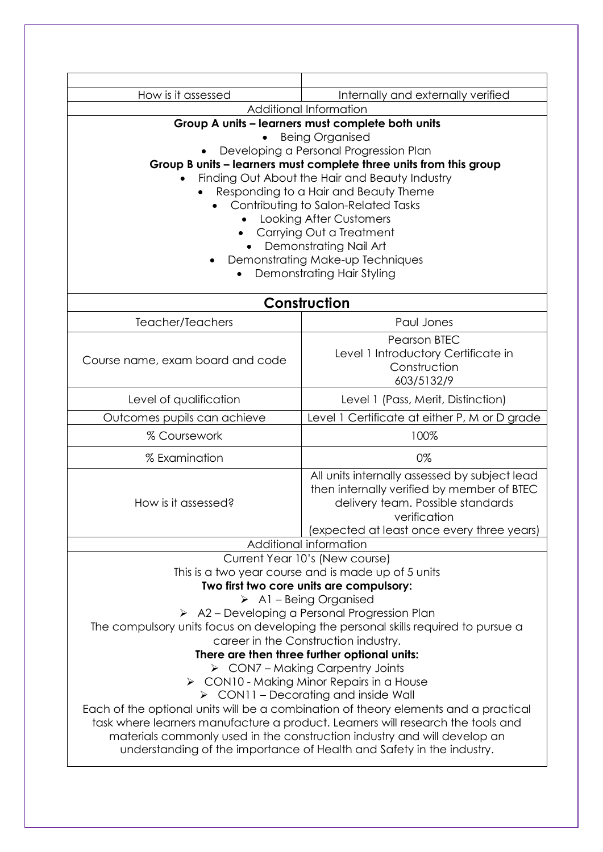| How is it assessed                                                                                                                                          | Internally and externally verified                                                                           |  |
|-------------------------------------------------------------------------------------------------------------------------------------------------------------|--------------------------------------------------------------------------------------------------------------|--|
| Additional Information                                                                                                                                      |                                                                                                              |  |
|                                                                                                                                                             | Group A units - learners must complete both units                                                            |  |
|                                                                                                                                                             | <b>Being Organised</b>                                                                                       |  |
|                                                                                                                                                             | Developing a Personal Progression Plan<br>Group B units - learners must complete three units from this group |  |
|                                                                                                                                                             | Finding Out About the Hair and Beauty Industry                                                               |  |
|                                                                                                                                                             | Responding to a Hair and Beauty Theme                                                                        |  |
|                                                                                                                                                             | Contributing to Salon-Related Tasks                                                                          |  |
|                                                                                                                                                             | Looking After Customers                                                                                      |  |
|                                                                                                                                                             | Carrying Out a Treatment                                                                                     |  |
|                                                                                                                                                             | Demonstrating Nail Art                                                                                       |  |
|                                                                                                                                                             | Demonstrating Make-up Techniques<br>Demonstrating Hair Styling                                               |  |
|                                                                                                                                                             |                                                                                                              |  |
| Construction                                                                                                                                                |                                                                                                              |  |
| Teacher/Teachers                                                                                                                                            | Paul Jones                                                                                                   |  |
|                                                                                                                                                             | <b>Pearson BTEC</b>                                                                                          |  |
| Course name, exam board and code                                                                                                                            | Level 1 Introductory Certificate in                                                                          |  |
|                                                                                                                                                             | Construction                                                                                                 |  |
|                                                                                                                                                             | 603/5132/9                                                                                                   |  |
| Level of qualification                                                                                                                                      | Level 1 (Pass, Merit, Distinction)                                                                           |  |
| Outcomes pupils can achieve                                                                                                                                 | Level 1 Certificate at either P, M or D grade                                                                |  |
| % Coursework                                                                                                                                                | 100%                                                                                                         |  |
| % Examination                                                                                                                                               | 0%                                                                                                           |  |
|                                                                                                                                                             | All units internally assessed by subject lead                                                                |  |
|                                                                                                                                                             | then internally verified by member of BTEC                                                                   |  |
| How is it assessed?                                                                                                                                         | delivery team. Possible standards<br>verification                                                            |  |
|                                                                                                                                                             | (expected at least once every three years)                                                                   |  |
|                                                                                                                                                             | Additional information                                                                                       |  |
|                                                                                                                                                             | Current Year 10's (New course)                                                                               |  |
|                                                                                                                                                             | This is a two year course and is made up of 5 units                                                          |  |
|                                                                                                                                                             | Two first two core units are compulsory:                                                                     |  |
| $\triangleright$ A1 – Being Organised                                                                                                                       |                                                                                                              |  |
| $\triangleright$ A2 – Developing a Personal Progression Plan                                                                                                |                                                                                                              |  |
| The compulsory units focus on developing the personal skills required to pursue a                                                                           |                                                                                                              |  |
| career in the Construction industry.<br>There are then three further optional units:                                                                        |                                                                                                              |  |
| $\triangleright$ CON7 – Making Carpentry Joints                                                                                                             |                                                                                                              |  |
| $\triangleright$ CON10 - Making Minor Repairs in a House                                                                                                    |                                                                                                              |  |
| $\triangleright$ CON11 – Decorating and inside Wall                                                                                                         |                                                                                                              |  |
| Each of the optional units will be a combination of theory elements and a practical                                                                         |                                                                                                              |  |
| task where learners manufacture a product. Learners will research the tools and<br>materials commonly used in the construction industry and will develop an |                                                                                                              |  |
| understanding of the importance of Health and Safety in the industry.                                                                                       |                                                                                                              |  |
|                                                                                                                                                             |                                                                                                              |  |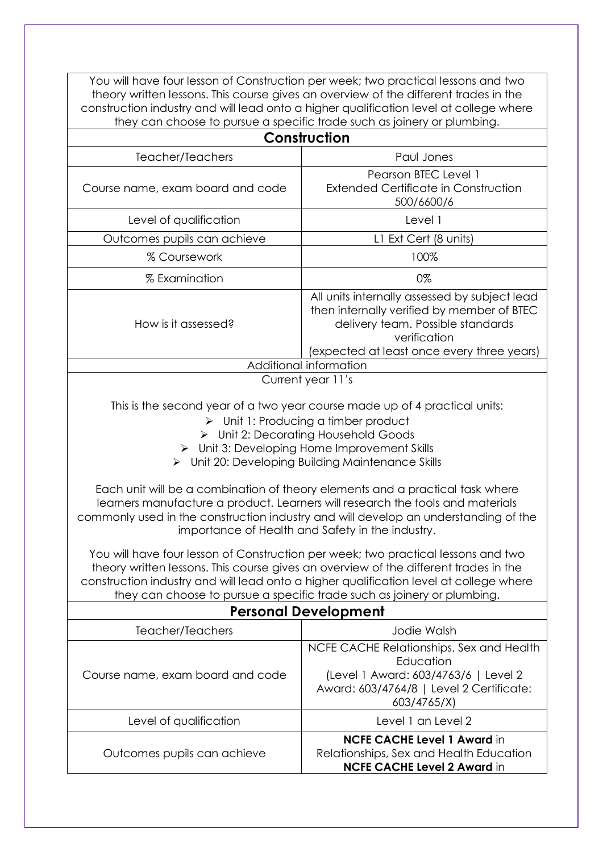You will have four lesson of Construction per week; two practical lessons and two theory written lessons. This course gives an overview of the different trades in the construction industry and will lead onto a higher qualification level at college where they can choose to pursue a specific trade such as joinery or plumbing.

| Construction                                                                                                                                                                                                                                                                                                                                                                                                                                                                                                                                                                                                                                                                                                                                                                                                                                                                                                                                                  |                                                                                                                                                                                                |  |
|---------------------------------------------------------------------------------------------------------------------------------------------------------------------------------------------------------------------------------------------------------------------------------------------------------------------------------------------------------------------------------------------------------------------------------------------------------------------------------------------------------------------------------------------------------------------------------------------------------------------------------------------------------------------------------------------------------------------------------------------------------------------------------------------------------------------------------------------------------------------------------------------------------------------------------------------------------------|------------------------------------------------------------------------------------------------------------------------------------------------------------------------------------------------|--|
| Teacher/Teachers                                                                                                                                                                                                                                                                                                                                                                                                                                                                                                                                                                                                                                                                                                                                                                                                                                                                                                                                              | Paul Jones                                                                                                                                                                                     |  |
| Course name, exam board and code                                                                                                                                                                                                                                                                                                                                                                                                                                                                                                                                                                                                                                                                                                                                                                                                                                                                                                                              | Pearson BTEC Level 1<br><b>Extended Certificate in Construction</b><br>500/6600/6                                                                                                              |  |
| Level of qualification                                                                                                                                                                                                                                                                                                                                                                                                                                                                                                                                                                                                                                                                                                                                                                                                                                                                                                                                        | Level 1                                                                                                                                                                                        |  |
| Outcomes pupils can achieve                                                                                                                                                                                                                                                                                                                                                                                                                                                                                                                                                                                                                                                                                                                                                                                                                                                                                                                                   | L1 Ext Cert (8 units)                                                                                                                                                                          |  |
| % Coursework                                                                                                                                                                                                                                                                                                                                                                                                                                                                                                                                                                                                                                                                                                                                                                                                                                                                                                                                                  | 100%                                                                                                                                                                                           |  |
| % Examination                                                                                                                                                                                                                                                                                                                                                                                                                                                                                                                                                                                                                                                                                                                                                                                                                                                                                                                                                 | 0%                                                                                                                                                                                             |  |
| How is it assessed?                                                                                                                                                                                                                                                                                                                                                                                                                                                                                                                                                                                                                                                                                                                                                                                                                                                                                                                                           | All units internally assessed by subject lead<br>then internally verified by member of BTEC<br>delivery team. Possible standards<br>verification<br>(expected at least once every three years) |  |
|                                                                                                                                                                                                                                                                                                                                                                                                                                                                                                                                                                                                                                                                                                                                                                                                                                                                                                                                                               | Additional information                                                                                                                                                                         |  |
|                                                                                                                                                                                                                                                                                                                                                                                                                                                                                                                                                                                                                                                                                                                                                                                                                                                                                                                                                               | Current year 11's                                                                                                                                                                              |  |
| This is the second year of a two year course made up of 4 practical units:<br>$\triangleright$ Unit 1: Producing a timber product<br>$\triangleright$ Unit 2: Decorating Household Goods<br>> Unit 3: Developing Home Improvement Skills<br>> Unit 20: Developing Building Maintenance Skills<br>Each unit will be a combination of theory elements and a practical task where<br>learners manufacture a product. Learners will research the tools and materials<br>commonly used in the construction industry and will develop an understanding of the<br>importance of Health and Safety in the industry.<br>You will have four lesson of Construction per week; two practical lessons and two<br>theory written lessons. This course gives an overview of the different trades in the<br>construction industry and will lead onto a higher qualification level at college where<br>they can choose to pursue a specific trade such as joinery or plumbing. |                                                                                                                                                                                                |  |
| <b>Personal Development</b>                                                                                                                                                                                                                                                                                                                                                                                                                                                                                                                                                                                                                                                                                                                                                                                                                                                                                                                                   |                                                                                                                                                                                                |  |
| Teacher/Teachers                                                                                                                                                                                                                                                                                                                                                                                                                                                                                                                                                                                                                                                                                                                                                                                                                                                                                                                                              | Jodie Walsh                                                                                                                                                                                    |  |
| Course name, exam board and code                                                                                                                                                                                                                                                                                                                                                                                                                                                                                                                                                                                                                                                                                                                                                                                                                                                                                                                              | NCFE CACHE Relationships, Sex and Health<br>Education<br>(Level 1 Award: 603/4763/6   Level 2<br>Award: 603/4764/8   Level 2 Certificate:<br>603/4765/X)                                       |  |
| Level of qualification                                                                                                                                                                                                                                                                                                                                                                                                                                                                                                                                                                                                                                                                                                                                                                                                                                                                                                                                        | Level 1 an Level 2                                                                                                                                                                             |  |
| Outcomes pupils can achieve                                                                                                                                                                                                                                                                                                                                                                                                                                                                                                                                                                                                                                                                                                                                                                                                                                                                                                                                   | <b>NCFE CACHE Level 1 Award in</b><br>Relationships, Sex and Health Education<br><b>NCFE CACHE Level 2 Award in</b>                                                                            |  |